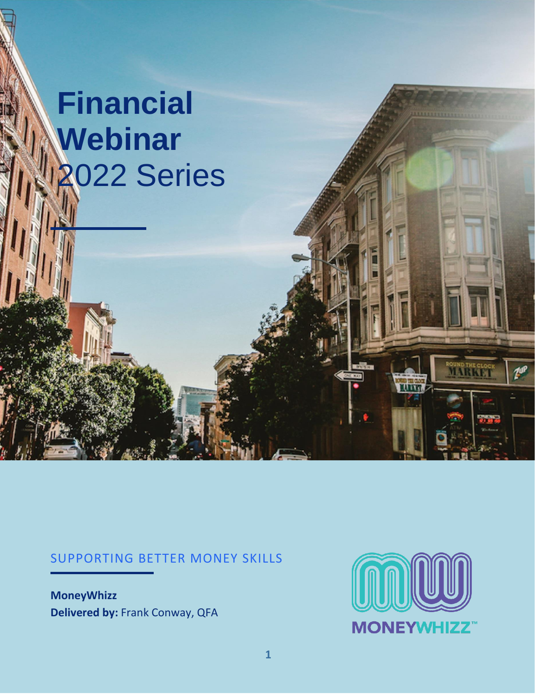# **Financial Webinar** 2022 Series

#### SUPPORTING BETTER MONEY SKILLS

**MoneyWhizz Delivered by:** Frank Conway, QFA



**OUND THE CL**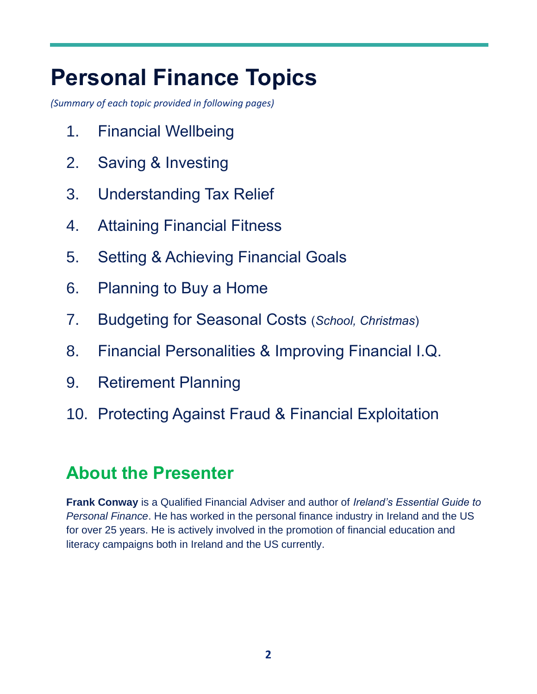# **Personal Finance Topics**

*(Summary of each topic provided in following pages)*

- 1. Financial Wellbeing
- 2. Saving & Investing
- 3. Understanding Tax Relief
- 4. Attaining Financial Fitness
- 5. Setting & Achieving Financial Goals
- 6. Planning to Buy a Home
- 7. Budgeting for Seasonal Costs (*School, Christmas*)
- 8. Financial Personalities & Improving Financial I.Q.
- 9. Retirement Planning
- 10. Protecting Against Fraud & Financial Exploitation

# **About the Presenter**

**Frank Conway** is a Qualified Financial Adviser and author of *Ireland's Essential Guide to Personal Finance*. He has worked in the personal finance industry in Ireland and the US for over 25 years. He is actively involved in the promotion of financial education and literacy campaigns both in Ireland and the US currently.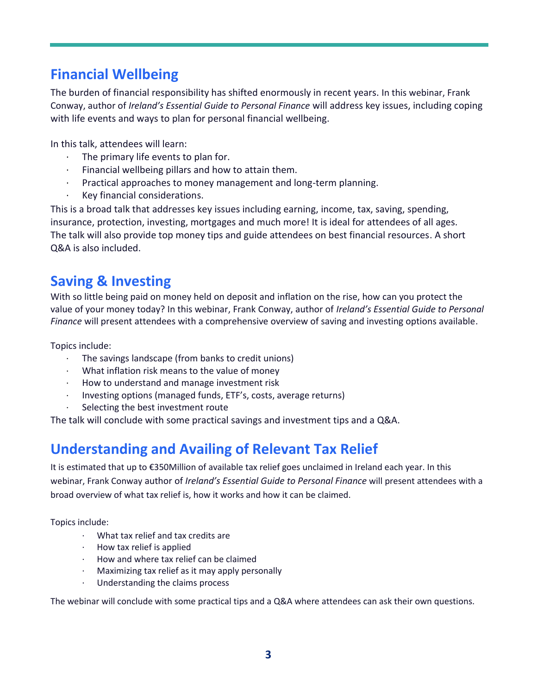### **Financial Wellbeing**

The burden of financial responsibility has shifted enormously in recent years. In this webinar, Frank Conway, author of *Ireland's Essential Guide to Personal Finance* will address key issues, including coping with life events and ways to plan for personal financial wellbeing.

In this talk, attendees will learn:

- The primary life events to plan for.
- $\cdot$  Financial wellbeing pillars and how to attain them.
- · Practical approaches to money management and long-term planning.
- · Key financial considerations.

This is a broad talk that addresses key issues including earning, income, tax, saving, spending, insurance, protection, investing, mortgages and much more! It is ideal for attendees of all ages. The talk will also provide top money tips and guide attendees on best financial resources. A short Q&A is also included.

### **Saving & Investing**

With so little being paid on money held on deposit and inflation on the rise, how can you protect the value of your money today? In this webinar, Frank Conway, author of *Ireland's Essential Guide to Personal Finance* will present attendees with a comprehensive overview of saving and investing options available.

Topics include:

- · The savings landscape (from banks to credit unions)
- · What inflation risk means to the value of money
- · How to understand and manage investment risk
- · Investing options (managed funds, ETF's, costs, average returns)
- Selecting the best investment route

The talk will conclude with some practical savings and investment tips and a Q&A.

# **Understanding and Availing of Relevant Tax Relief**

It is estimated that up to €350Million of available tax relief goes unclaimed in Ireland each year. In this webinar, Frank Conway author of *Ireland's Essential Guide to Personal Finance* will present attendees with a broad overview of what tax relief is, how it works and how it can be claimed.

Topics include:

- What tax relief and tax credits are
- · How tax relief is applied
- · How and where tax relief can be claimed
- Maximizing tax relief as it may apply personally
- Understanding the claims process

The webinar will conclude with some practical tips and a Q&A where attendees can ask their own questions.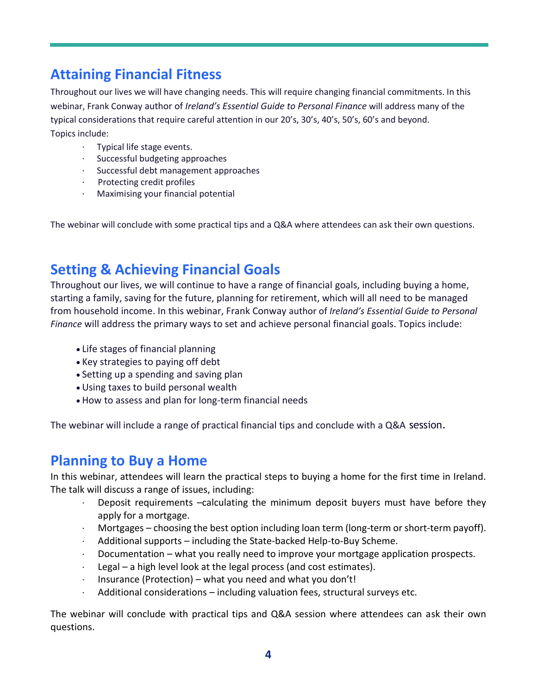# **Attaining Financial Fitness**

Throughout our lives we will have changing needs. This will require changing financial commitments. In this webinar, Frank Conway author of *Ireland's Essential Guide to Personal Finance* will address many of the typical considerations that require careful attention in our 20's, 30's, 40's, 50's, 60's and beyond. Topics include:

- · Typical life stage events.
- Successful budgeting approaches
- Successful debt management approaches
- · Protecting credit profiles
- · Maximising your financial potential

The webinar will conclude with some practical tips and a Q&A where attendees can ask their own questions.

### **Setting & Achieving Financial Goals**

Throughout our lives, we will continue to have a range of financial goals, including buying a home, starting a family, saving for the future, planning for retirement, which will all need to be managed from household income. In this webinar, Frank Conway author of *Ireland's Essential Guide to Personal Finance* will address the primary ways to set and achieve personal financial goals. Topics include:

- Life stages of financial planning
- Key strategies to paying off debt
- Setting up a spending and saving plan
- Using taxes to build personal wealth
- How to assess and plan for long-term financial needs

The webinar will include a range of practical financial tips and conclude with a Q&A session.

#### **Planning to Buy a Home**

In this webinar, attendees will learn the practical steps to buying a home for the first time in Ireland. The talk will discuss a range of issues, including:

- · Deposit requirements –calculating the minimum deposit buyers must have before they apply for a mortgage.
- · Mortgages choosing the best option including loan term (long-term or short-term payoff).
- · Additional supports including the State-backed Help-to-Buy Scheme.
- Documentation what you really need to improve your mortgage application prospects.
- $\cdot$  Legal a high level look at the legal process (and cost estimates).
- $\cdot$  Insurance (Protection) what you need and what you don't!
- Additional considerations including valuation fees, structural surveys etc.

The webinar will conclude with practical tips and Q&A session where attendees can ask their own questions.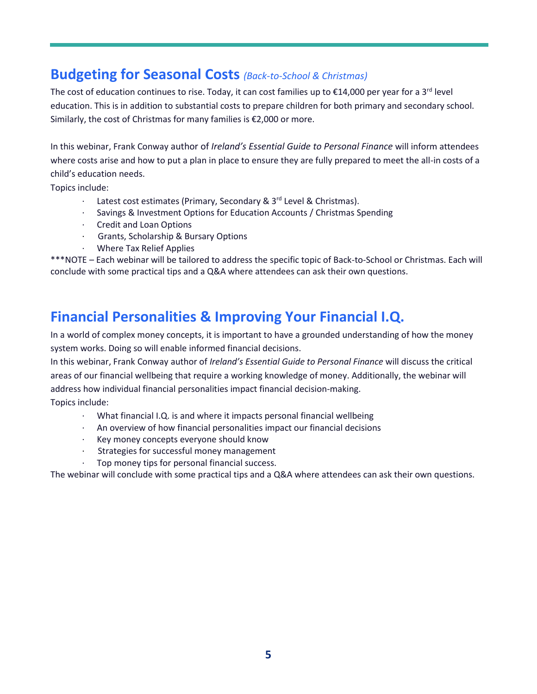#### **Budgeting for Seasonal Costs** *(Back-to-School & Christmas)*

The cost of education continues to rise. Today, it can cost families up to  $\epsilon$ 14,000 per year for a 3<sup>rd</sup> level education. This is in addition to substantial costs to prepare children for both primary and secondary school. Similarly, the cost of Christmas for many families is €2,000 or more.

In this webinar, Frank Conway author of *Ireland's Essential Guide to Personal Finance* will inform attendees where costs arise and how to put a plan in place to ensure they are fully prepared to meet the all-in costs of a child's education needs.

Topics include:

- · Latest cost estimates (Primary, Secondary & 3rd Level & Christmas).
- Savings & Investment Options for Education Accounts / Christmas Spending
- · Credit and Loan Options
- · Grants, Scholarship & Bursary Options
- · Where Tax Relief Applies

\*\*\*NOTE – Each webinar will be tailored to address the specific topic of Back-to-School or Christmas. Each will conclude with some practical tips and a Q&A where attendees can ask their own questions.

#### **Financial Personalities & Improving Your Financial I.Q.**

In a world of complex money concepts, it is important to have a grounded understanding of how the money system works. Doing so will enable informed financial decisions.

In this webinar, Frank Conway author of *Ireland's Essential Guide to Personal Finance* will discuss the critical areas of our financial wellbeing that require a working knowledge of money. Additionally, the webinar will address how individual financial personalities impact financial decision-making.

Topics include:

- What financial I.Q. is and where it impacts personal financial wellbeing
- An overview of how financial personalities impact our financial decisions
- Key money concepts everyone should know
- Strategies for successful money management
- Top money tips for personal financial success.

The webinar will conclude with some practical tips and a Q&A where attendees can ask their own questions.